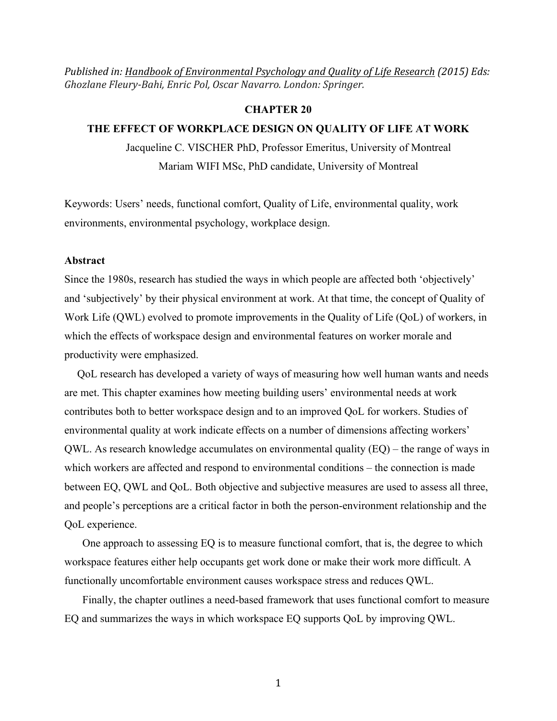*Published in: Handbook of Environmental Psychology and Quality of Life Research (2015) Eds:* Ghozlane Fleury-Bahi, Enric Pol, Oscar Navarro. London: Springer.

## **CHAPTER 20**

#### **THE EFFECT OF WORKPLACE DESIGN ON QUALITY OF LIFE AT WORK**

Jacqueline C. VISCHER PhD, Professor Emeritus, University of Montreal Mariam WIFI MSc, PhD candidate, University of Montreal

Keywords: Users' needs, functional comfort, Quality of Life, environmental quality, work environments, environmental psychology, workplace design.

# **Abstract**

Since the 1980s, research has studied the ways in which people are affected both 'objectively' and 'subjectively' by their physical environment at work. At that time, the concept of Quality of Work Life (QWL) evolved to promote improvements in the Quality of Life (QoL) of workers, in which the effects of workspace design and environmental features on worker morale and productivity were emphasized.

QoL research has developed a variety of ways of measuring how well human wants and needs are met. This chapter examines how meeting building users' environmental needs at work contributes both to better workspace design and to an improved QoL for workers. Studies of environmental quality at work indicate effects on a number of dimensions affecting workers' QWL. As research knowledge accumulates on environmental quality (EQ) – the range of ways in which workers are affected and respond to environmental conditions – the connection is made between EQ, QWL and QoL. Both objective and subjective measures are used to assess all three, and people's perceptions are a critical factor in both the person-environment relationship and the QoL experience.

One approach to assessing EQ is to measure functional comfort, that is, the degree to which workspace features either help occupants get work done or make their work more difficult. A functionally uncomfortable environment causes workspace stress and reduces QWL.

Finally, the chapter outlines a need-based framework that uses functional comfort to measure EQ and summarizes the ways in which workspace EQ supports QoL by improving QWL.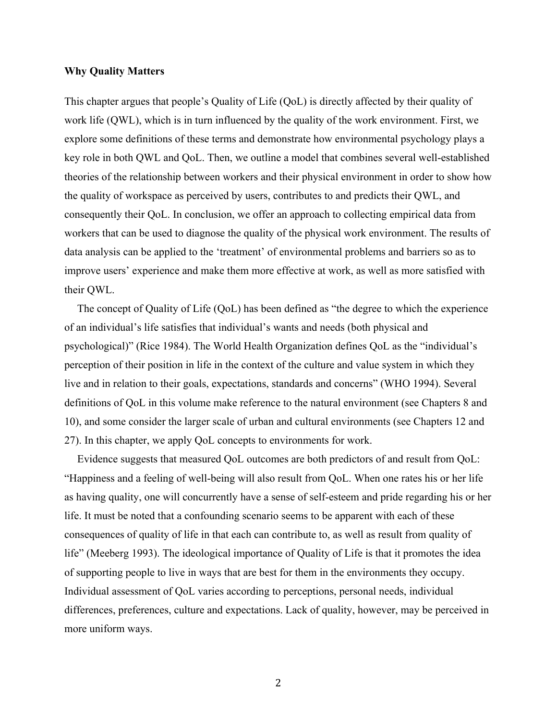#### **Why Quality Matters**

This chapter argues that people's Quality of Life (QoL) is directly affected by their quality of work life (QWL), which is in turn influenced by the quality of the work environment. First, we explore some definitions of these terms and demonstrate how environmental psychology plays a key role in both QWL and QoL. Then, we outline a model that combines several well-established theories of the relationship between workers and their physical environment in order to show how the quality of workspace as perceived by users, contributes to and predicts their QWL, and consequently their QoL. In conclusion, we offer an approach to collecting empirical data from workers that can be used to diagnose the quality of the physical work environment. The results of data analysis can be applied to the 'treatment' of environmental problems and barriers so as to improve users' experience and make them more effective at work, as well as more satisfied with their QWL.

The concept of Quality of Life (QoL) has been defined as "the degree to which the experience of an individual's life satisfies that individual's wants and needs (both physical and psychological)" (Rice 1984). The World Health Organization defines QoL as the "individual's perception of their position in life in the context of the culture and value system in which they live and in relation to their goals, expectations, standards and concerns" (WHO 1994). Several definitions of QoL in this volume make reference to the natural environment (see Chapters 8 and 10), and some consider the larger scale of urban and cultural environments (see Chapters 12 and 27). In this chapter, we apply QoL concepts to environments for work.

Evidence suggests that measured QoL outcomes are both predictors of and result from QoL: "Happiness and a feeling of well-being will also result from QoL. When one rates his or her life as having quality, one will concurrently have a sense of self-esteem and pride regarding his or her life. It must be noted that a confounding scenario seems to be apparent with each of these consequences of quality of life in that each can contribute to, as well as result from quality of life" (Meeberg 1993). The ideological importance of Quality of Life is that it promotes the idea of supporting people to live in ways that are best for them in the environments they occupy. Individual assessment of QoL varies according to perceptions, personal needs, individual differences, preferences, culture and expectations. Lack of quality, however, may be perceived in more uniform ways.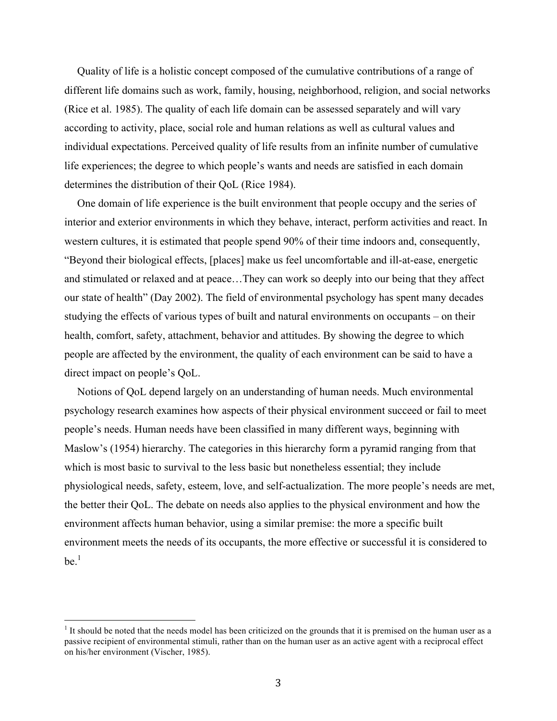Quality of life is a holistic concept composed of the cumulative contributions of a range of different life domains such as work, family, housing, neighborhood, religion, and social networks (Rice et al. 1985). The quality of each life domain can be assessed separately and will vary according to activity, place, social role and human relations as well as cultural values and individual expectations. Perceived quality of life results from an infinite number of cumulative life experiences; the degree to which people's wants and needs are satisfied in each domain determines the distribution of their QoL (Rice 1984).

One domain of life experience is the built environment that people occupy and the series of interior and exterior environments in which they behave, interact, perform activities and react. In western cultures, it is estimated that people spend 90% of their time indoors and, consequently, "Beyond their biological effects, [places] make us feel uncomfortable and ill-at-ease, energetic and stimulated or relaxed and at peace…They can work so deeply into our being that they affect our state of health" (Day 2002). The field of environmental psychology has spent many decades studying the effects of various types of built and natural environments on occupants – on their health, comfort, safety, attachment, behavior and attitudes. By showing the degree to which people are affected by the environment, the quality of each environment can be said to have a direct impact on people's QoL.

Notions of QoL depend largely on an understanding of human needs. Much environmental psychology research examines how aspects of their physical environment succeed or fail to meet people's needs. Human needs have been classified in many different ways, beginning with Maslow's (1954) hierarchy. The categories in this hierarchy form a pyramid ranging from that which is most basic to survival to the less basic but nonetheless essential; they include physiological needs, safety, esteem, love, and self-actualization. The more people's needs are met, the better their QoL. The debate on needs also applies to the physical environment and how the environment affects human behavior, using a similar premise: the more a specific built environment meets the needs of its occupants, the more effective or successful it is considered to  $be.$ <sup>1</sup>

 $1$  It should be noted that the needs model has been criticized on the grounds that it is premised on the human user as a passive recipient of environmental stimuli, rather than on the human user as an active agent with a reciprocal effect on his/her environment (Vischer, 1985).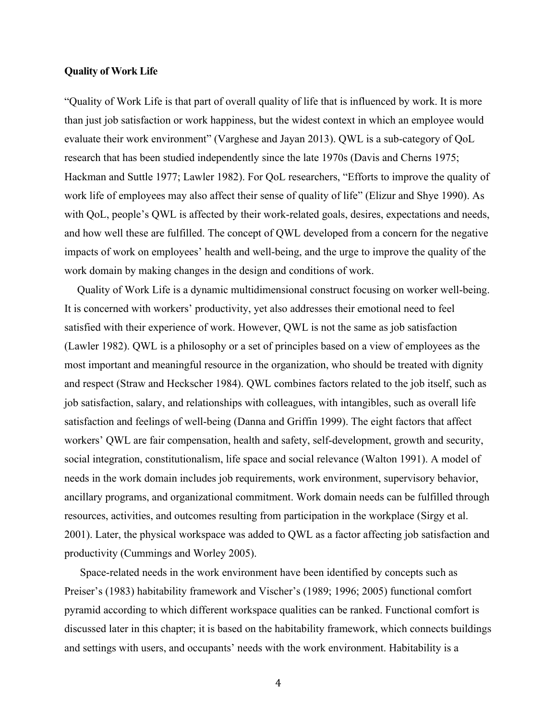#### **Quality of Work Life**

"Quality of Work Life is that part of overall quality of life that is influenced by work. It is more than just job satisfaction or work happiness, but the widest context in which an employee would evaluate their work environment" (Varghese and Jayan 2013). QWL is a sub-category of QoL research that has been studied independently since the late 1970s (Davis and Cherns 1975; Hackman and Suttle 1977; Lawler 1982). For QoL researchers, "Efforts to improve the quality of work life of employees may also affect their sense of quality of life" (Elizur and Shye 1990). As with QoL, people's QWL is affected by their work-related goals, desires, expectations and needs, and how well these are fulfilled. The concept of QWL developed from a concern for the negative impacts of work on employees' health and well-being, and the urge to improve the quality of the work domain by making changes in the design and conditions of work.

Quality of Work Life is a dynamic multidimensional construct focusing on worker well-being. It is concerned with workers' productivity, yet also addresses their emotional need to feel satisfied with their experience of work. However, QWL is not the same as job satisfaction (Lawler 1982). QWL is a philosophy or a set of principles based on a view of employees as the most important and meaningful resource in the organization, who should be treated with dignity and respect (Straw and Heckscher 1984). QWL combines factors related to the job itself, such as job satisfaction, salary, and relationships with colleagues, with intangibles, such as overall life satisfaction and feelings of well-being (Danna and Griffin 1999). The eight factors that affect workers' QWL are fair compensation, health and safety, self-development, growth and security, social integration, constitutionalism, life space and social relevance (Walton 1991). A model of needs in the work domain includes job requirements, work environment, supervisory behavior, ancillary programs, and organizational commitment. Work domain needs can be fulfilled through resources, activities, and outcomes resulting from participation in the workplace (Sirgy et al. 2001). Later, the physical workspace was added to QWL as a factor affecting job satisfaction and productivity (Cummings and Worley 2005).

Space-related needs in the work environment have been identified by concepts such as Preiser's (1983) habitability framework and Vischer's (1989; 1996; 2005) functional comfort pyramid according to which different workspace qualities can be ranked. Functional comfort is discussed later in this chapter; it is based on the habitability framework, which connects buildings and settings with users, and occupants' needs with the work environment. Habitability is a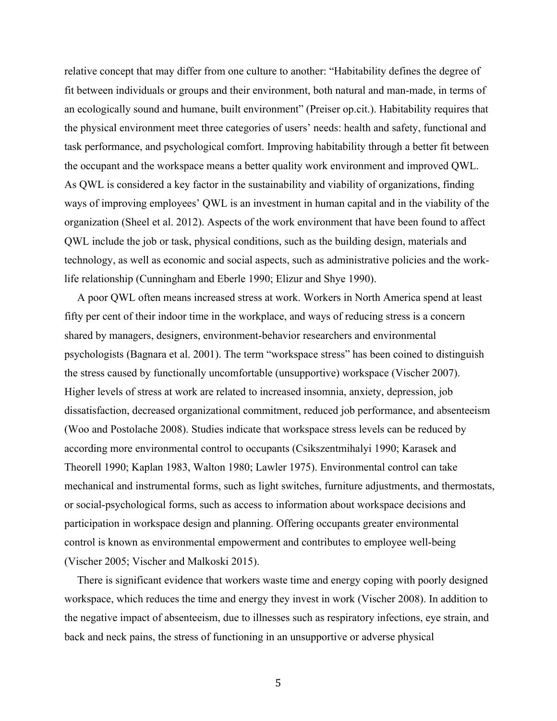relative concept that may differ from one culture to another: "Habitability defines the degree of fit between individuals or groups and their environment, both natural and man-made, in terms of an ecologically sound and humane, built environment" (Preiser op.cit.). Habitability requires that the physical environment meet three categories of users' needs: health and safety, functional and task performance, and psychological comfort. Improving habitability through a better fit between the occupant and the workspace means a better quality work environment and improved QWL. As QWL is considered a key factor in the sustainability and viability of organizations, finding ways of improving employees' QWL is an investment in human capital and in the viability of the organization (Sheel et al. 2012). Aspects of the work environment that have been found to affect QWL include the job or task, physical conditions, such as the building design, materials and technology, as well as economic and social aspects, such as administrative policies and the worklife relationship (Cunningham and Eberle 1990; Elizur and Shye 1990).

A poor QWL often means increased stress at work. Workers in North America spend at least fifty per cent of their indoor time in the workplace, and ways of reducing stress is a concern shared by managers, designers, environment-behavior researchers and environmental psychologists (Bagnara et al. 2001). The term "workspace stress" has been coined to distinguish the stress caused by functionally uncomfortable (unsupportive) workspace (Vischer 2007). Higher levels of stress at work are related to increased insomnia, anxiety, depression, job dissatisfaction, decreased organizational commitment, reduced job performance, and absenteeism (Woo and Postolache 2008). Studies indicate that workspace stress levels can be reduced by according more environmental control to occupants (Csikszentmihalyi 1990; Karasek and Theorell 1990; Kaplan 1983, Walton 1980; Lawler 1975). Environmental control can take mechanical and instrumental forms, such as light switches, furniture adjustments, and thermostats, or social-psychological forms, such as access to information about workspace decisions and participation in workspace design and planning. Offering occupants greater environmental control is known as environmental empowerment and contributes to employee well-being (Vischer 2005; Vischer and Malkoski 2015).

There is significant evidence that workers waste time and energy coping with poorly designed workspace, which reduces the time and energy they invest in work (Vischer 2008). In addition to the negative impact of absenteeism, due to illnesses such as respiratory infections, eye strain, and back and neck pains, the stress of functioning in an unsupportive or adverse physical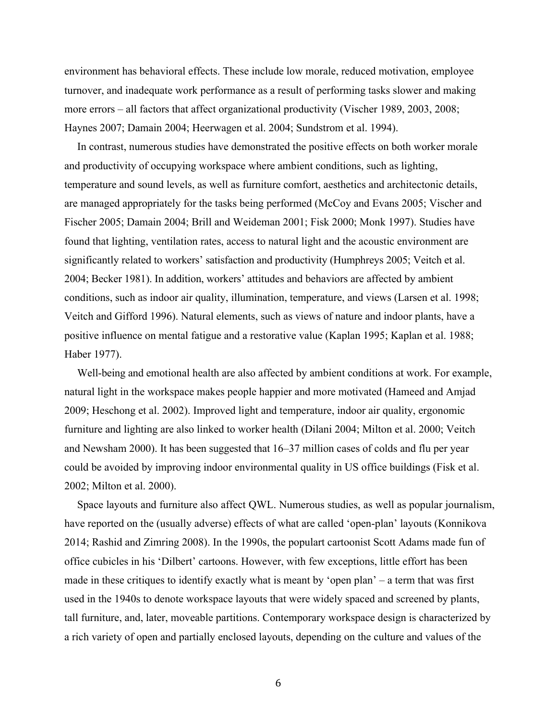environment has behavioral effects. These include low morale, reduced motivation, employee turnover, and inadequate work performance as a result of performing tasks slower and making more errors – all factors that affect organizational productivity (Vischer 1989, 2003, 2008; Haynes 2007; Damain 2004; Heerwagen et al. 2004; Sundstrom et al. 1994).

In contrast, numerous studies have demonstrated the positive effects on both worker morale and productivity of occupying workspace where ambient conditions, such as lighting, temperature and sound levels, as well as furniture comfort, aesthetics and architectonic details, are managed appropriately for the tasks being performed (McCoy and Evans 2005; Vischer and Fischer 2005; Damain 2004; Brill and Weideman 2001; Fisk 2000; Monk 1997). Studies have found that lighting, ventilation rates, access to natural light and the acoustic environment are significantly related to workers' satisfaction and productivity (Humphreys 2005; Veitch et al. 2004; Becker 1981). In addition, workers' attitudes and behaviors are affected by ambient conditions, such as indoor air quality, illumination, temperature, and views (Larsen et al. 1998; Veitch and Gifford 1996). Natural elements, such as views of nature and indoor plants, have a positive influence on mental fatigue and a restorative value (Kaplan 1995; Kaplan et al. 1988; Haber 1977).

Well-being and emotional health are also affected by ambient conditions at work. For example, natural light in the workspace makes people happier and more motivated (Hameed and Amjad 2009; Heschong et al. 2002). Improved light and temperature, indoor air quality, ergonomic furniture and lighting are also linked to worker health (Dilani 2004; Milton et al. 2000; Veitch and Newsham 2000). It has been suggested that 16–37 million cases of colds and flu per year could be avoided by improving indoor environmental quality in US office buildings (Fisk et al. 2002; Milton et al. 2000).

Space layouts and furniture also affect QWL. Numerous studies, as well as popular journalism, have reported on the (usually adverse) effects of what are called 'open-plan' layouts (Konnikova 2014; Rashid and Zimring 2008). In the 1990s, the populart cartoonist Scott Adams made fun of office cubicles in his 'Dilbert' cartoons. However, with few exceptions, little effort has been made in these critiques to identify exactly what is meant by 'open plan' – a term that was first used in the 1940s to denote workspace layouts that were widely spaced and screened by plants, tall furniture, and, later, moveable partitions. Contemporary workspace design is characterized by a rich variety of open and partially enclosed layouts, depending on the culture and values of the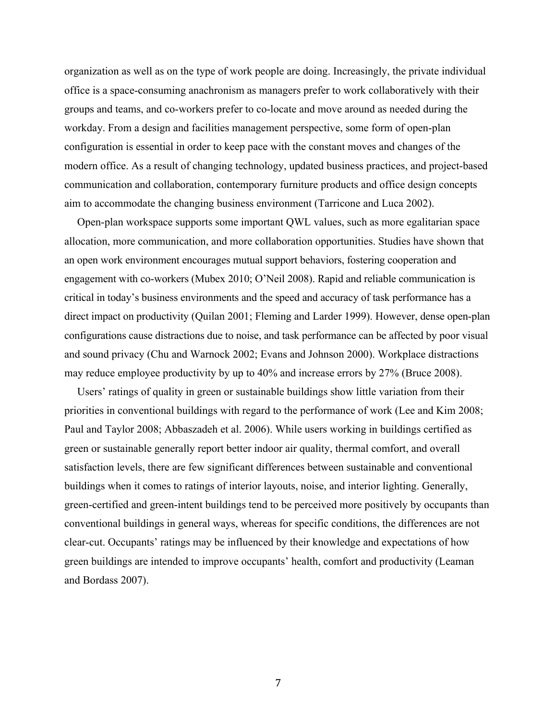organization as well as on the type of work people are doing. Increasingly, the private individual office is a space-consuming anachronism as managers prefer to work collaboratively with their groups and teams, and co-workers prefer to co-locate and move around as needed during the workday. From a design and facilities management perspective, some form of open-plan configuration is essential in order to keep pace with the constant moves and changes of the modern office. As a result of changing technology, updated business practices, and project-based communication and collaboration, contemporary furniture products and office design concepts aim to accommodate the changing business environment (Tarricone and Luca 2002).

Open-plan workspace supports some important QWL values, such as more egalitarian space allocation, more communication, and more collaboration opportunities. Studies have shown that an open work environment encourages mutual support behaviors, fostering cooperation and engagement with co-workers (Mubex 2010; O'Neil 2008). Rapid and reliable communication is critical in today's business environments and the speed and accuracy of task performance has a direct impact on productivity (Quilan 2001; Fleming and Larder 1999). However, dense open-plan configurations cause distractions due to noise, and task performance can be affected by poor visual and sound privacy (Chu and Warnock 2002; Evans and Johnson 2000). Workplace distractions may reduce employee productivity by up to 40% and increase errors by 27% (Bruce 2008).

Users' ratings of quality in green or sustainable buildings show little variation from their priorities in conventional buildings with regard to the performance of work (Lee and Kim 2008; Paul and Taylor 2008; Abbaszadeh et al. 2006). While users working in buildings certified as green or sustainable generally report better indoor air quality, thermal comfort, and overall satisfaction levels, there are few significant differences between sustainable and conventional buildings when it comes to ratings of interior layouts, noise, and interior lighting. Generally, green-certified and green-intent buildings tend to be perceived more positively by occupants than conventional buildings in general ways, whereas for specific conditions, the differences are not clear-cut. Occupants' ratings may be influenced by their knowledge and expectations of how green buildings are intended to improve occupants' health, comfort and productivity (Leaman and Bordass 2007).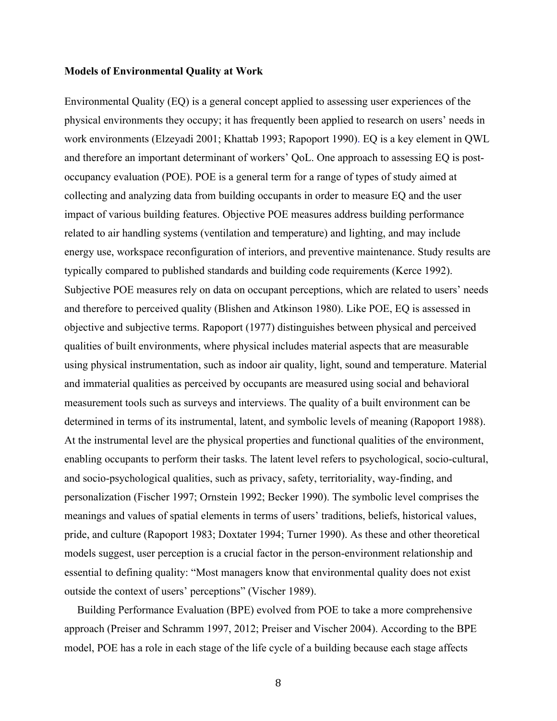#### **Models of Environmental Quality at Work**

Environmental Quality (EQ) is a general concept applied to assessing user experiences of the physical environments they occupy; it has frequently been applied to research on users' needs in work environments (Elzeyadi 2001; Khattab 1993; Rapoport 1990). EQ is a key element in QWL and therefore an important determinant of workers' QoL. One approach to assessing EQ is postoccupancy evaluation (POE). POE is a general term for a range of types of study aimed at collecting and analyzing data from building occupants in order to measure EQ and the user impact of various building features. Objective POE measures address building performance related to air handling systems (ventilation and temperature) and lighting, and may include energy use, workspace reconfiguration of interiors, and preventive maintenance. Study results are typically compared to published standards and building code requirements (Kerce 1992). Subjective POE measures rely on data on occupant perceptions, which are related to users' needs and therefore to perceived quality (Blishen and Atkinson 1980). Like POE, EQ is assessed in objective and subjective terms. Rapoport (1977) distinguishes between physical and perceived qualities of built environments, where physical includes material aspects that are measurable using physical instrumentation, such as indoor air quality, light, sound and temperature. Material and immaterial qualities as perceived by occupants are measured using social and behavioral measurement tools such as surveys and interviews. The quality of a built environment can be determined in terms of its instrumental, latent, and symbolic levels of meaning (Rapoport 1988). At the instrumental level are the physical properties and functional qualities of the environment, enabling occupants to perform their tasks. The latent level refers to psychological, socio-cultural, and socio-psychological qualities, such as privacy, safety, territoriality, way-finding, and personalization (Fischer 1997; Ornstein 1992; Becker 1990). The symbolic level comprises the meanings and values of spatial elements in terms of users' traditions, beliefs, historical values, pride, and culture (Rapoport 1983; Doxtater 1994; Turner 1990). As these and other theoretical models suggest, user perception is a crucial factor in the person-environment relationship and essential to defining quality: "Most managers know that environmental quality does not exist outside the context of users' perceptions" (Vischer 1989).

Building Performance Evaluation (BPE) evolved from POE to take a more comprehensive approach (Preiser and Schramm 1997, 2012; Preiser and Vischer 2004). According to the BPE model, POE has a role in each stage of the life cycle of a building because each stage affects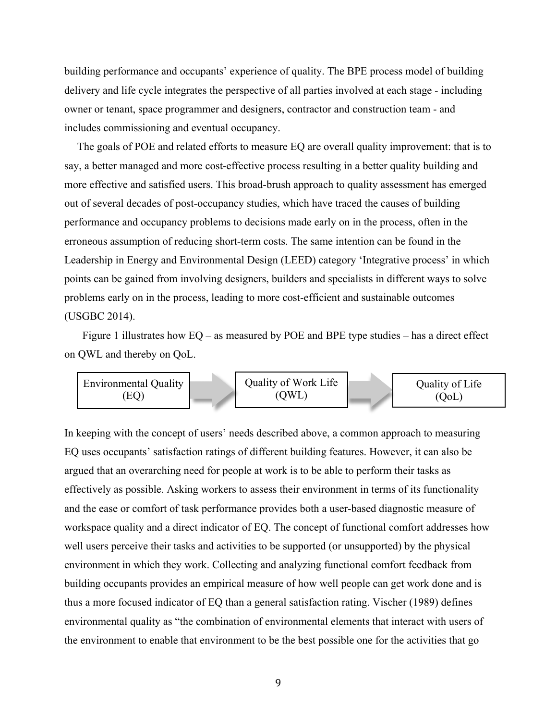building performance and occupants' experience of quality. The BPE process model of building delivery and life cycle integrates the perspective of all parties involved at each stage - including owner or tenant, space programmer and designers, contractor and construction team - and includes commissioning and eventual occupancy.

The goals of POE and related efforts to measure EQ are overall quality improvement: that is to say, a better managed and more cost-effective process resulting in a better quality building and more effective and satisfied users. This broad-brush approach to quality assessment has emerged out of several decades of post-occupancy studies, which have traced the causes of building performance and occupancy problems to decisions made early on in the process, often in the erroneous assumption of reducing short-term costs. The same intention can be found in the Leadership in Energy and Environmental Design (LEED) category 'Integrative process' in which points can be gained from involving designers, builders and specialists in different ways to solve problems early on in the process, leading to more cost-efficient and sustainable outcomes (USGBC 2014).

Figure 1 illustrates how EQ – as measured by POE and BPE type studies – has a direct effect on QWL and thereby on QoL.

Environmental Quality (EQ) Quality of Work Life (QWL) Quality of Life (QoL)

In keeping with the concept of users' needs described above, a common approach to measuring EQ uses occupants' satisfaction ratings of different building features. However, it can also be argued that an overarching need for people at work is to be able to perform their tasks as effectively as possible. Asking workers to assess their environment in terms of its functionality and the ease or comfort of task performance provides both a user-based diagnostic measure of workspace quality and a direct indicator of EQ. The concept of functional comfort addresses how well users perceive their tasks and activities to be supported (or unsupported) by the physical environment in which they work. Collecting and analyzing functional comfort feedback from building occupants provides an empirical measure of how well people can get work done and is thus a more focused indicator of EQ than a general satisfaction rating. Vischer (1989) defines environmental quality as "the combination of environmental elements that interact with users of the environment to enable that environment to be the best possible one for the activities that go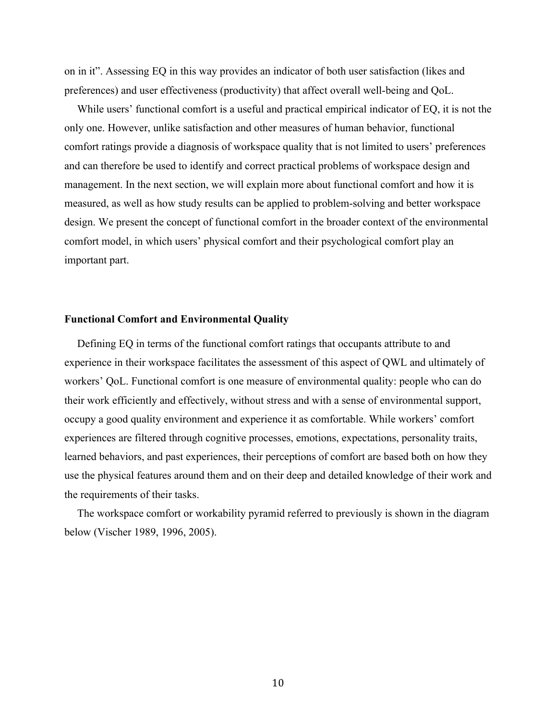on in it". Assessing EQ in this way provides an indicator of both user satisfaction (likes and preferences) and user effectiveness (productivity) that affect overall well-being and QoL.

While users' functional comfort is a useful and practical empirical indicator of EQ, it is not the only one. However, unlike satisfaction and other measures of human behavior, functional comfort ratings provide a diagnosis of workspace quality that is not limited to users' preferences and can therefore be used to identify and correct practical problems of workspace design and management. In the next section, we will explain more about functional comfort and how it is measured, as well as how study results can be applied to problem-solving and better workspace design. We present the concept of functional comfort in the broader context of the environmental comfort model, in which users' physical comfort and their psychological comfort play an important part.

#### **Functional Comfort and Environmental Quality**

Defining EQ in terms of the functional comfort ratings that occupants attribute to and experience in their workspace facilitates the assessment of this aspect of QWL and ultimately of workers' QoL. Functional comfort is one measure of environmental quality: people who can do their work efficiently and effectively, without stress and with a sense of environmental support, occupy a good quality environment and experience it as comfortable. While workers' comfort experiences are filtered through cognitive processes, emotions, expectations, personality traits, learned behaviors, and past experiences, their perceptions of comfort are based both on how they use the physical features around them and on their deep and detailed knowledge of their work and the requirements of their tasks.

The workspace comfort or workability pyramid referred to previously is shown in the diagram below (Vischer 1989, 1996, 2005).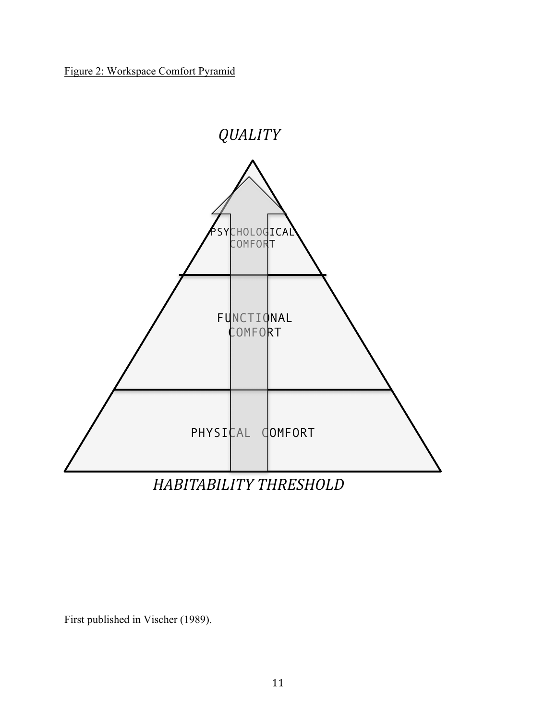Figure 2: Workspace Comfort Pyramid



First published in Vischer (1989).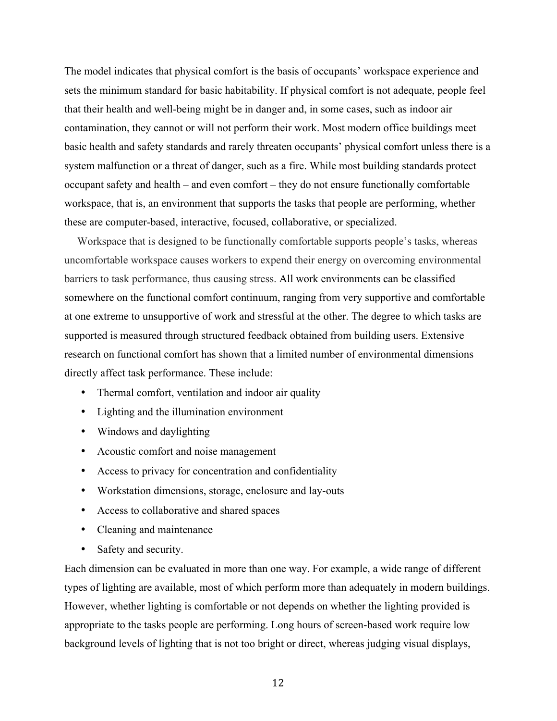The model indicates that physical comfort is the basis of occupants' workspace experience and sets the minimum standard for basic habitability. If physical comfort is not adequate, people feel that their health and well-being might be in danger and, in some cases, such as indoor air contamination, they cannot or will not perform their work. Most modern office buildings meet basic health and safety standards and rarely threaten occupants' physical comfort unless there is a system malfunction or a threat of danger, such as a fire. While most building standards protect occupant safety and health – and even comfort – they do not ensure functionally comfortable workspace, that is, an environment that supports the tasks that people are performing, whether these are computer-based, interactive, focused, collaborative, or specialized.

Workspace that is designed to be functionally comfortable supports people's tasks, whereas uncomfortable workspace causes workers to expend their energy on overcoming environmental barriers to task performance, thus causing stress. All work environments can be classified somewhere on the functional comfort continuum, ranging from very supportive and comfortable at one extreme to unsupportive of work and stressful at the other. The degree to which tasks are supported is measured through structured feedback obtained from building users. Extensive research on functional comfort has shown that a limited number of environmental dimensions directly affect task performance. These include:

- Thermal comfort, ventilation and indoor air quality
- Lighting and the illumination environment
- Windows and daylighting
- Acoustic comfort and noise management
- Access to privacy for concentration and confidentiality
- Workstation dimensions, storage, enclosure and lay-outs
- Access to collaborative and shared spaces
- Cleaning and maintenance
- Safety and security.

Each dimension can be evaluated in more than one way. For example, a wide range of different types of lighting are available, most of which perform more than adequately in modern buildings. However, whether lighting is comfortable or not depends on whether the lighting provided is appropriate to the tasks people are performing. Long hours of screen-based work require low background levels of lighting that is not too bright or direct, whereas judging visual displays,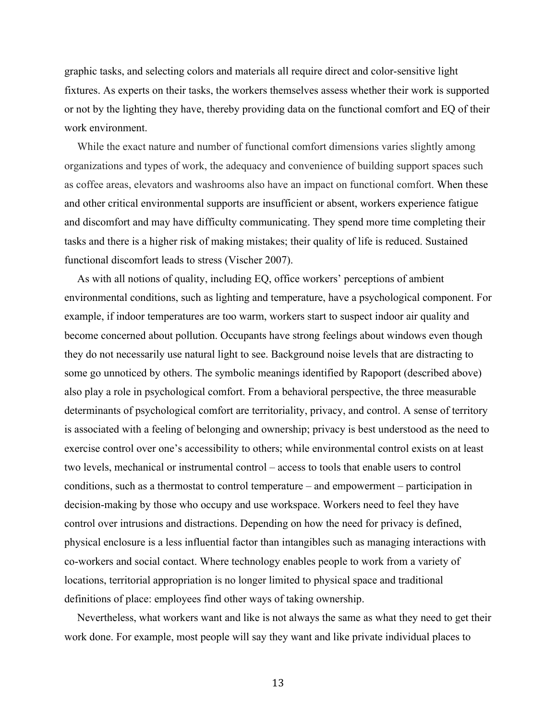graphic tasks, and selecting colors and materials all require direct and color-sensitive light fixtures. As experts on their tasks, the workers themselves assess whether their work is supported or not by the lighting they have, thereby providing data on the functional comfort and EQ of their work environment.

While the exact nature and number of functional comfort dimensions varies slightly among organizations and types of work, the adequacy and convenience of building support spaces such as coffee areas, elevators and washrooms also have an impact on functional comfort. When these and other critical environmental supports are insufficient or absent, workers experience fatigue and discomfort and may have difficulty communicating. They spend more time completing their tasks and there is a higher risk of making mistakes; their quality of life is reduced. Sustained functional discomfort leads to stress (Vischer 2007).

As with all notions of quality, including EQ, office workers' perceptions of ambient environmental conditions, such as lighting and temperature, have a psychological component. For example, if indoor temperatures are too warm, workers start to suspect indoor air quality and become concerned about pollution. Occupants have strong feelings about windows even though they do not necessarily use natural light to see. Background noise levels that are distracting to some go unnoticed by others. The symbolic meanings identified by Rapoport (described above) also play a role in psychological comfort. From a behavioral perspective, the three measurable determinants of psychological comfort are territoriality, privacy, and control. A sense of territory is associated with a feeling of belonging and ownership; privacy is best understood as the need to exercise control over one's accessibility to others; while environmental control exists on at least two levels, mechanical or instrumental control – access to tools that enable users to control conditions, such as a thermostat to control temperature – and empowerment – participation in decision-making by those who occupy and use workspace. Workers need to feel they have control over intrusions and distractions. Depending on how the need for privacy is defined, physical enclosure is a less influential factor than intangibles such as managing interactions with co-workers and social contact. Where technology enables people to work from a variety of locations, territorial appropriation is no longer limited to physical space and traditional definitions of place: employees find other ways of taking ownership.

Nevertheless, what workers want and like is not always the same as what they need to get their work done. For example, most people will say they want and like private individual places to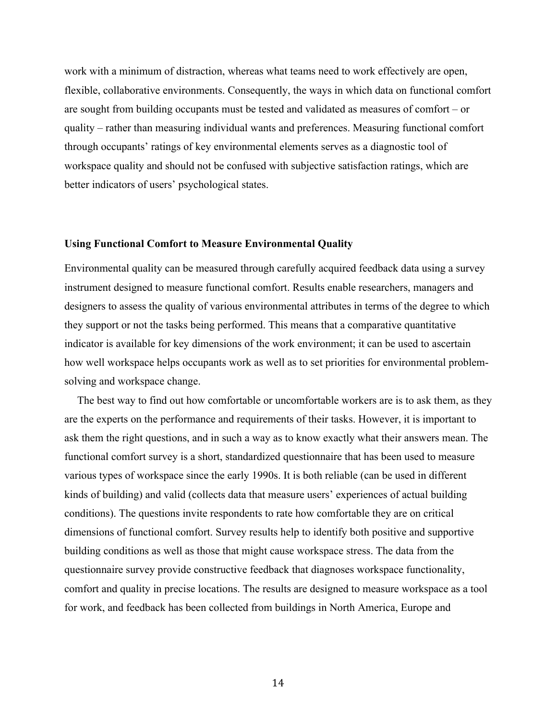work with a minimum of distraction, whereas what teams need to work effectively are open, flexible, collaborative environments. Consequently, the ways in which data on functional comfort are sought from building occupants must be tested and validated as measures of comfort – or quality – rather than measuring individual wants and preferences. Measuring functional comfort through occupants' ratings of key environmental elements serves as a diagnostic tool of workspace quality and should not be confused with subjective satisfaction ratings, which are better indicators of users' psychological states.

### **Using Functional Comfort to Measure Environmental Quality**

Environmental quality can be measured through carefully acquired feedback data using a survey instrument designed to measure functional comfort. Results enable researchers, managers and designers to assess the quality of various environmental attributes in terms of the degree to which they support or not the tasks being performed. This means that a comparative quantitative indicator is available for key dimensions of the work environment; it can be used to ascertain how well workspace helps occupants work as well as to set priorities for environmental problemsolving and workspace change.

The best way to find out how comfortable or uncomfortable workers are is to ask them, as they are the experts on the performance and requirements of their tasks. However, it is important to ask them the right questions, and in such a way as to know exactly what their answers mean. The functional comfort survey is a short, standardized questionnaire that has been used to measure various types of workspace since the early 1990s. It is both reliable (can be used in different kinds of building) and valid (collects data that measure users' experiences of actual building conditions). The questions invite respondents to rate how comfortable they are on critical dimensions of functional comfort. Survey results help to identify both positive and supportive building conditions as well as those that might cause workspace stress. The data from the questionnaire survey provide constructive feedback that diagnoses workspace functionality, comfort and quality in precise locations. The results are designed to measure workspace as a tool for work, and feedback has been collected from buildings in North America, Europe and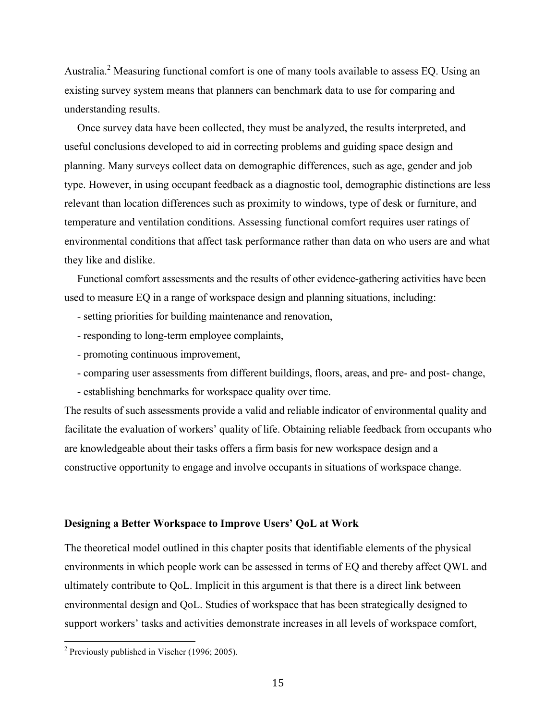Australia.<sup>2</sup> Measuring functional comfort is one of many tools available to assess EQ. Using an existing survey system means that planners can benchmark data to use for comparing and understanding results.

Once survey data have been collected, they must be analyzed, the results interpreted, and useful conclusions developed to aid in correcting problems and guiding space design and planning. Many surveys collect data on demographic differences, such as age, gender and job type. However, in using occupant feedback as a diagnostic tool, demographic distinctions are less relevant than location differences such as proximity to windows, type of desk or furniture, and temperature and ventilation conditions. Assessing functional comfort requires user ratings of environmental conditions that affect task performance rather than data on who users are and what they like and dislike.

Functional comfort assessments and the results of other evidence-gathering activities have been used to measure EQ in a range of workspace design and planning situations, including:

- setting priorities for building maintenance and renovation,
- responding to long-term employee complaints,
- promoting continuous improvement,
- comparing user assessments from different buildings, floors, areas, and pre- and post- change,
- establishing benchmarks for workspace quality over time.

The results of such assessments provide a valid and reliable indicator of environmental quality and facilitate the evaluation of workers' quality of life. Obtaining reliable feedback from occupants who are knowledgeable about their tasks offers a firm basis for new workspace design and a constructive opportunity to engage and involve occupants in situations of workspace change.

## **Designing a Better Workspace to Improve Users' QoL at Work**

The theoretical model outlined in this chapter posits that identifiable elements of the physical environments in which people work can be assessed in terms of EQ and thereby affect QWL and ultimately contribute to QoL. Implicit in this argument is that there is a direct link between environmental design and QoL. Studies of workspace that has been strategically designed to support workers' tasks and activities demonstrate increases in all levels of workspace comfort,

 <sup>2</sup> Previously published in Vischer (1996; 2005).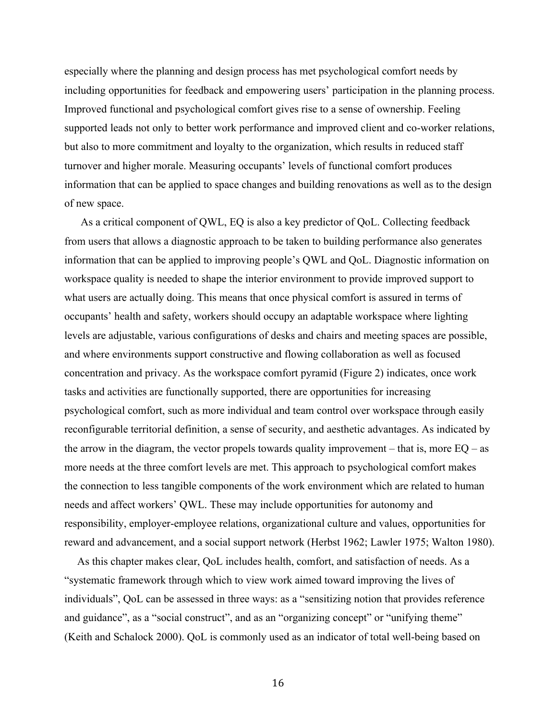especially where the planning and design process has met psychological comfort needs by including opportunities for feedback and empowering users' participation in the planning process. Improved functional and psychological comfort gives rise to a sense of ownership. Feeling supported leads not only to better work performance and improved client and co-worker relations, but also to more commitment and loyalty to the organization, which results in reduced staff turnover and higher morale. Measuring occupants' levels of functional comfort produces information that can be applied to space changes and building renovations as well as to the design of new space.

As a critical component of QWL, EQ is also a key predictor of QoL. Collecting feedback from users that allows a diagnostic approach to be taken to building performance also generates information that can be applied to improving people's QWL and QoL. Diagnostic information on workspace quality is needed to shape the interior environment to provide improved support to what users are actually doing. This means that once physical comfort is assured in terms of occupants' health and safety, workers should occupy an adaptable workspace where lighting levels are adjustable, various configurations of desks and chairs and meeting spaces are possible, and where environments support constructive and flowing collaboration as well as focused concentration and privacy. As the workspace comfort pyramid (Figure 2) indicates, once work tasks and activities are functionally supported, there are opportunities for increasing psychological comfort, such as more individual and team control over workspace through easily reconfigurable territorial definition, a sense of security, and aesthetic advantages. As indicated by the arrow in the diagram, the vector propels towards quality improvement – that is, more  $EQ - as$ more needs at the three comfort levels are met. This approach to psychological comfort makes the connection to less tangible components of the work environment which are related to human needs and affect workers' QWL. These may include opportunities for autonomy and responsibility, employer-employee relations, organizational culture and values, opportunities for reward and advancement, and a social support network (Herbst 1962; Lawler 1975; Walton 1980).

As this chapter makes clear, QoL includes health, comfort, and satisfaction of needs. As a "systematic framework through which to view work aimed toward improving the lives of individuals", QoL can be assessed in three ways: as a "sensitizing notion that provides reference and guidance", as a "social construct", and as an "organizing concept" or "unifying theme" (Keith and Schalock 2000). QoL is commonly used as an indicator of total well-being based on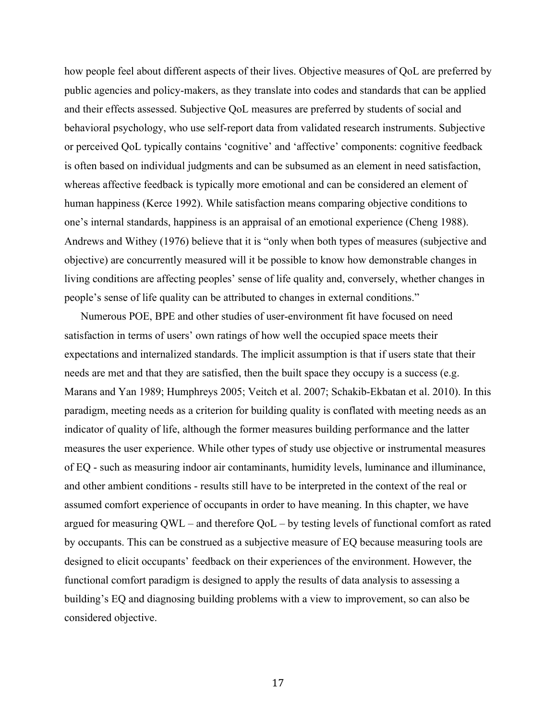how people feel about different aspects of their lives. Objective measures of QoL are preferred by public agencies and policy-makers, as they translate into codes and standards that can be applied and their effects assessed. Subjective QoL measures are preferred by students of social and behavioral psychology, who use self-report data from validated research instruments. Subjective or perceived QoL typically contains 'cognitive' and 'affective' components: cognitive feedback is often based on individual judgments and can be subsumed as an element in need satisfaction, whereas affective feedback is typically more emotional and can be considered an element of human happiness (Kerce 1992). While satisfaction means comparing objective conditions to one's internal standards, happiness is an appraisal of an emotional experience (Cheng 1988). Andrews and Withey (1976) believe that it is "only when both types of measures (subjective and objective) are concurrently measured will it be possible to know how demonstrable changes in living conditions are affecting peoples' sense of life quality and, conversely, whether changes in people's sense of life quality can be attributed to changes in external conditions."

Numerous POE, BPE and other studies of user-environment fit have focused on need satisfaction in terms of users' own ratings of how well the occupied space meets their expectations and internalized standards. The implicit assumption is that if users state that their needs are met and that they are satisfied, then the built space they occupy is a success (e.g. Marans and Yan 1989; Humphreys 2005; Veitch et al. 2007; Schakib-Ekbatan et al. 2010). In this paradigm, meeting needs as a criterion for building quality is conflated with meeting needs as an indicator of quality of life, although the former measures building performance and the latter measures the user experience. While other types of study use objective or instrumental measures of EQ - such as measuring indoor air contaminants, humidity levels, luminance and illuminance, and other ambient conditions - results still have to be interpreted in the context of the real or assumed comfort experience of occupants in order to have meaning. In this chapter, we have argued for measuring QWL – and therefore QoL – by testing levels of functional comfort as rated by occupants. This can be construed as a subjective measure of EQ because measuring tools are designed to elicit occupants' feedback on their experiences of the environment. However, the functional comfort paradigm is designed to apply the results of data analysis to assessing a building's EQ and diagnosing building problems with a view to improvement, so can also be considered objective.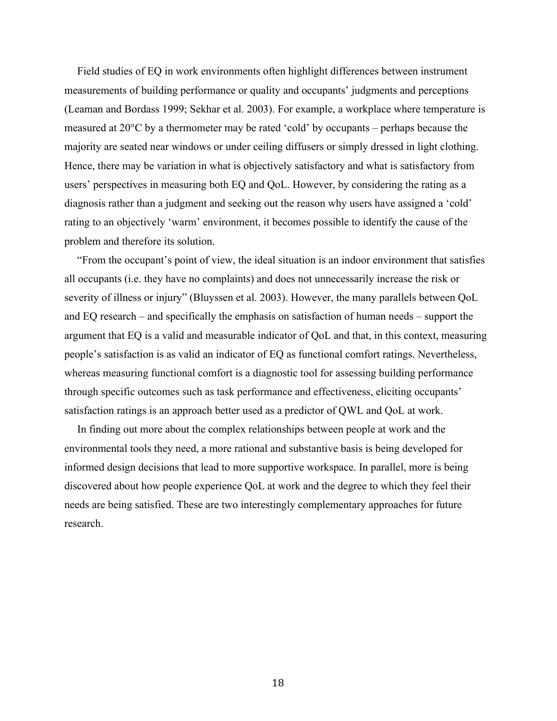Field studies of EQ in work environments often highlight differences between instrument measurements of building performance or quality and occupants' judgments and perceptions (Leaman and Bordass 1999; Sekhar et al. 2003). For example, a workplace where temperature is measured at 20°C by a thermometer may be rated 'cold' by occupants – perhaps because the majority are seated near windows or under ceiling diffusers or simply dressed in light clothing. Hence, there may be variation in what is objectively satisfactory and what is satisfactory from users' perspectives in measuring both EQ and QoL. However, by considering the rating as a diagnosis rather than a judgment and seeking out the reason why users have assigned a 'cold' rating to an objectively 'warm' environment, it becomes possible to identify the cause of the problem and therefore its solution.

"From the occupant's point of view, the ideal situation is an indoor environment that satisfies all occupants (i.e. they have no complaints) and does not unnecessarily increase the risk or severity of illness or injury" (Bluyssen et al. 2003). However, the many parallels between QoL and EQ research – and specifically the emphasis on satisfaction of human needs – support the argument that EQ is a valid and measurable indicator of QoL and that, in this context, measuring people's satisfaction is as valid an indicator of EQ as functional comfort ratings. Nevertheless, whereas measuring functional comfort is a diagnostic tool for assessing building performance through specific outcomes such as task performance and effectiveness, eliciting occupants' satisfaction ratings is an approach better used as a predictor of QWL and QoL at work.

In finding out more about the complex relationships between people at work and the environmental tools they need, a more rational and substantive basis is being developed for informed design decisions that lead to more supportive workspace. In parallel, more is being discovered about how people experience QoL at work and the degree to which they feel their needs are being satisfied. These are two interestingly complementary approaches for future research.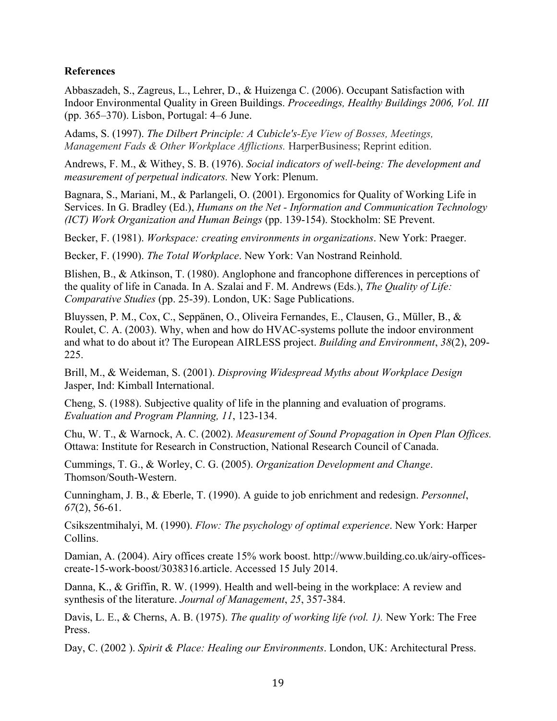# **References**

Abbaszadeh, S., Zagreus, L., Lehrer, D., & Huizenga C. (2006). Occupant Satisfaction with Indoor Environmental Quality in Green Buildings. *Proceedings, Healthy Buildings 2006, Vol. III* (pp. 365–370). Lisbon, Portugal: 4–6 June.

Adams, S. (1997). *The Dilbert Principle: A Cubicle's-Eye View of Bosses, Meetings, Management Fads & Other Workplace Afflictions.* HarperBusiness; Reprint edition.

Andrews, F. M., & Withey, S. B. (1976). *Social indicators of well-being: The development and measurement of perpetual indicators.* New York: Plenum.

Bagnara, S., Mariani, M., & Parlangeli, O. (2001). Ergonomics for Quality of Working Life in Services. In G. Bradley (Ed.), *Humans on the Net - Information and Communication Technology (ICT) Work Organization and Human Beings* (pp. 139-154). Stockholm: SE Prevent.

Becker, F. (1981). *Workspace: creating environments in organizations*. New York: Praeger.

Becker, F. (1990). *The Total Workplace*. New York: Van Nostrand Reinhold.

Blishen, B., & Atkinson, T. (1980). Anglophone and francophone differences in perceptions of the quality of life in Canada. In A. Szalai and F. M. Andrews (Eds.), *The Quality of Life: Comparative Studies* (pp. 25-39). London, UK: Sage Publications.

Bluyssen, P. M., Cox, C., Seppänen, O., Oliveira Fernandes, E., Clausen, G., Müller, B., & Roulet, C. A. (2003). Why, when and how do HVAC-systems pollute the indoor environment and what to do about it? The European AIRLESS project. *Building and Environment*, *38*(2), 209- 225.

Brill, M., & Weideman, S. (2001). *Disproving Widespread Myths about Workplace Design* Jasper, Ind: Kimball International.

Cheng, S. (1988). Subjective quality of life in the planning and evaluation of programs. *Evaluation and Program Planning, 11*, 123-134.

Chu, W. T., & Warnock, A. C. (2002). *Measurement of Sound Propagation in Open Plan Offices.*  Ottawa: Institute for Research in Construction, National Research Council of Canada.

Cummings, T. G., & Worley, C. G. (2005). *Organization Development and Change*. Thomson/South-Western.

Cunningham, J. B., & Eberle, T. (1990). A guide to job enrichment and redesign. *Personnel*, *67*(2), 56-61.

Csikszentmihalyi, M. (1990). *Flow: The psychology of optimal experience*. New York: Harper Collins.

Damian, A. (2004). Airy offices create 15% work boost. http://www.building.co.uk/airy-officescreate-15-work-boost/3038316.article. Accessed 15 July 2014.

Danna, K., & Griffin, R. W. (1999). Health and well-being in the workplace: A review and synthesis of the literature. *Journal of Management*, *25*, 357-384.

Davis, L. E., & Cherns, A. B. (1975). *The quality of working life (vol. 1).* New York: The Free Press.

Day, C. (2002 ). *Spirit & Place: Healing our Environments*. London, UK: Architectural Press.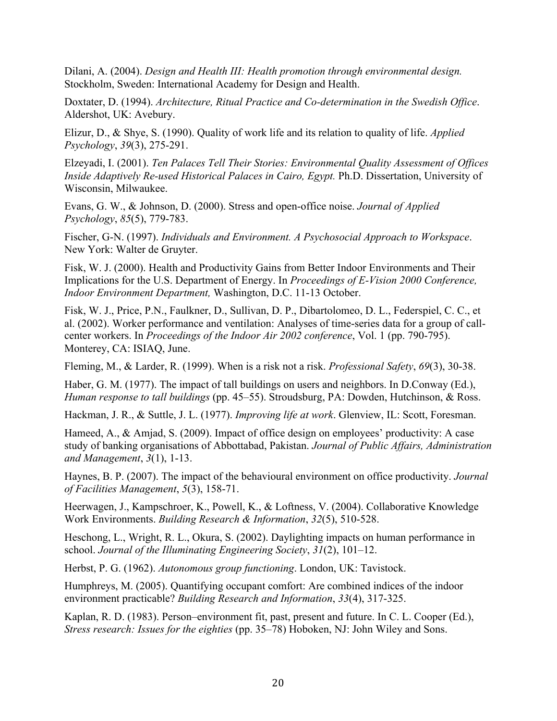Dilani, A. (2004). *Design and Health III: Health promotion through environmental design.* Stockholm, Sweden: International Academy for Design and Health.

Doxtater, D. (1994). *Architecture, Ritual Practice and Co-determination in the Swedish Office*. Aldershot, UK: Avebury.

Elizur, D., & Shye, S. (1990). Quality of work life and its relation to quality of life. *Applied Psychology*, *39*(3), 275-291.

Elzeyadi, I. (2001). *Ten Palaces Tell Their Stories: Environmental Quality Assessment of Offices Inside Adaptively Re-used Historical Palaces in Cairo, Egypt.* Ph.D. Dissertation, University of Wisconsin, Milwaukee.

Evans, G. W., & Johnson, D. (2000). Stress and open-office noise. *Journal of Applied Psychology*, *85*(5), 779-783.

Fischer, G-N. (1997). *Individuals and Environment. A Psychosocial Approach to Workspace*. New York: Walter de Gruyter.

Fisk, W. J. (2000). Health and Productivity Gains from Better Indoor Environments and Their Implications for the U.S. Department of Energy. In *Proceedings of E-Vision 2000 Conference, Indoor Environment Department,* Washington, D.C. 11-13 October.

Fisk, W. J., Price, P.N., Faulkner, D., Sullivan, D. P., Dibartolomeo, D. L., Federspiel, C. C., et al. (2002). Worker performance and ventilation: Analyses of time-series data for a group of callcenter workers. In *Proceedings of the Indoor Air 2002 conference*, Vol. 1 (pp. 790-795). Monterey, CA: ISIAQ, June.

Fleming, M., & Larder, R. (1999). When is a risk not a risk. *Professional Safety*, *69*(3), 30-38.

Haber, G. M. (1977). The impact of tall buildings on users and neighbors. In D.Conway (Ed.), *Human response to tall buildings* (pp. 45–55). Stroudsburg, PA: Dowden, Hutchinson, & Ross.

Hackman, J. R., & Suttle, J. L. (1977). *Improving life at work*. Glenview, IL: Scott, Foresman.

Hameed, A., & Amjad, S. (2009). Impact of office design on employees' productivity: A case study of banking organisations of Abbottabad, Pakistan. *Journal of Public Affairs, Administration and Management*, *3*(1), 1-13.

Haynes, B. P. (2007). The impact of the behavioural environment on office productivity. *Journal of Facilities Management*, *5*(3), 158-71.

Heerwagen, J., Kampschroer, K., Powell, K., & Loftness, V. (2004). Collaborative Knowledge Work Environments. *Building Research & Information*, *32*(5), 510-528.

Heschong, L., Wright, R. L., Okura, S. (2002). Daylighting impacts on human performance in school. *Journal of the Illuminating Engineering Society*, *31*(2), 101–12.

Herbst, P. G. (1962). *Autonomous group functioning*. London, UK: Tavistock.

Humphreys, M. (2005). Quantifying occupant comfort: Are combined indices of the indoor environment practicable? *Building Research and Information*, *33*(4), 317-325.

Kaplan, R. D. (1983). Person–environment fit, past, present and future. In C. L. Cooper (Ed.), *Stress research: Issues for the eighties* (pp. 35–78) Hoboken, NJ: John Wiley and Sons.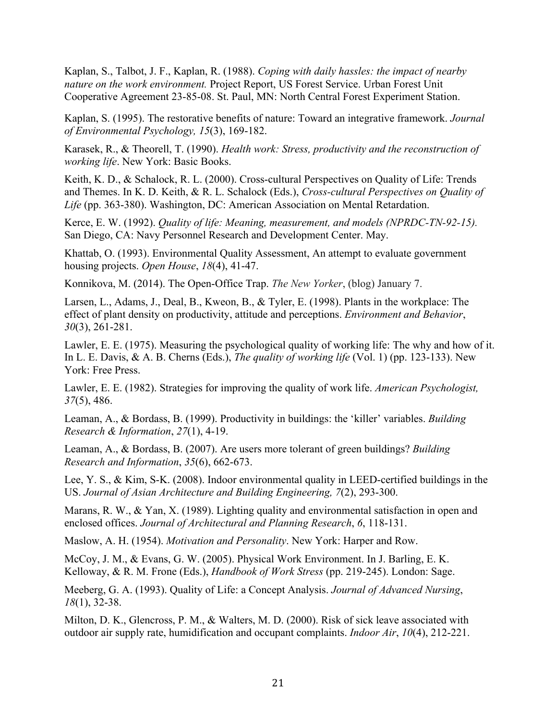Kaplan, S., Talbot, J. F., Kaplan, R. (1988). *Coping with daily hassles: the impact of nearby nature on the work environment.* Project Report, US Forest Service. Urban Forest Unit Cooperative Agreement 23-85-08. St. Paul, MN: North Central Forest Experiment Station.

Kaplan, S. (1995). The restorative benefits of nature: Toward an integrative framework. *Journal of Environmental Psychology, 15*(3), 169-182.

Karasek, R., & Theorell, T. (1990). *Health work: Stress, productivity and the reconstruction of working life*. New York: Basic Books.

Keith, K. D., & Schalock, R. L. (2000). Cross-cultural Perspectives on Quality of Life: Trends and Themes. In K. D. Keith, & R. L. Schalock (Eds.), *Cross-cultural Perspectives on Quality of Life* (pp. 363-380). Washington, DC: American Association on Mental Retardation.

Kerce, E. W. (1992). *Quality of life: Meaning, measurement, and models (NPRDC-TN-92-15).* San Diego, CA: Navy Personnel Research and Development Center. May.

Khattab, O. (1993). Environmental Quality Assessment, An attempt to evaluate government housing projects. *Open House*, *18*(4), 41-47.

Konnikova, M. (2014). The Open-Office Trap. *The New Yorker*, (blog) January 7.

Larsen, L., Adams, J., Deal, B., Kweon, B., & Tyler, E. (1998). Plants in the workplace: The effect of plant density on productivity, attitude and perceptions. *Environment and Behavior*, *30*(3), 261-281.

Lawler, E. E. (1975). Measuring the psychological quality of working life: The why and how of it. In L. E. Davis, & A. B. Cherns (Eds.), *The quality of working life* (Vol. 1) (pp. 123-133). New York: Free Press.

Lawler, E. E. (1982). Strategies for improving the quality of work life. *American Psychologist, 37*(5), 486.

Leaman, A., & Bordass, B. (1999). Productivity in buildings: the 'killer' variables. *Building Research & Information*, *27*(1), 4-19.

Leaman, A., & Bordass, B. (2007). Are users more tolerant of green buildings? *Building Research and Information*, *35*(6), 662-673.

Lee, Y. S., & Kim, S-K. (2008). Indoor environmental quality in LEED-certified buildings in the US. *Journal of Asian Architecture and Building Engineering, 7*(2), 293-300.

Marans, R. W., & Yan, X. (1989). Lighting quality and environmental satisfaction in open and enclosed offices. *Journal of Architectural and Planning Research*, *6*, 118-131.

Maslow, A. H. (1954). *Motivation and Personality*. New York: Harper and Row.

McCoy, J. M., & Evans, G. W. (2005). Physical Work Environment. In J. Barling, E. K. Kelloway, & R. M. Frone (Eds.), *Handbook of Work Stress* (pp. 219-245). London: Sage.

Meeberg, G. A. (1993). Quality of Life: a Concept Analysis. *Journal of Advanced Nursing*, *18*(1), 32-38.

Milton, D. K., Glencross, P. M., & Walters, M. D. (2000). Risk of sick leave associated with outdoor air supply rate, humidification and occupant complaints. *Indoor Air*, *10*(4), 212-221.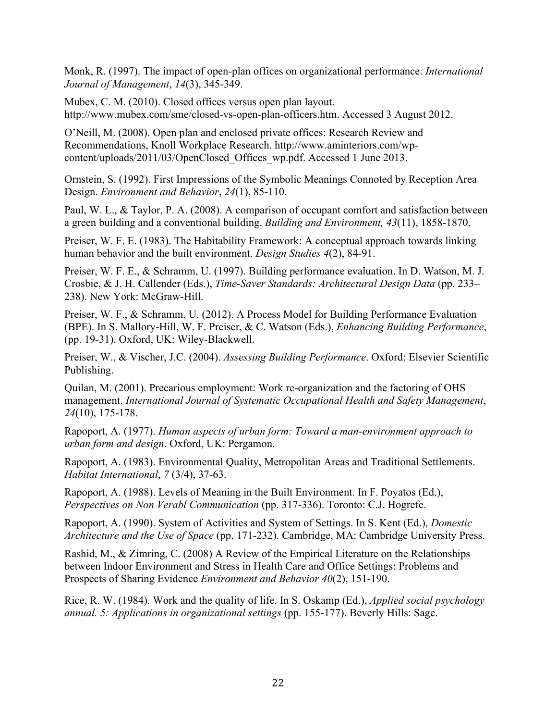Monk, R. (1997). The impact of open-plan offices on organizational performance. *International Journal of Management*, *14*(3), 345-349.

Mubex, C. M. (2010). Closed offices versus open plan layout. http://www.mubex.com/sme/closed-vs-open-plan-officers.htm. Accessed 3 August 2012.

O'Neill, M. (2008). Open plan and enclosed private offices: Research Review and Recommendations, Knoll Workplace Research. http://www.aminteriors.com/wpcontent/uploads/2011/03/OpenClosed\_Offices\_wp.pdf. Accessed 1 June 2013.

Ornstein, S. (1992). First Impressions of the Symbolic Meanings Connoted by Reception Area Design. *Environment and Behavior*, *24*(1), 85-110.

Paul, W. L., & Taylor, P. A. (2008). A comparison of occupant comfort and satisfaction between a green building and a conventional building. *Building and Environment, 43*(11), 1858-1870.

Preiser, W. F. E. (1983). The Habitability Framework: A conceptual approach towards linking human behavior and the built environment. *Design Studies 4*(2), 84-91.

Preiser, W. F. E., & Schramm, U. (1997). Building performance evaluation. In D. Watson, M. J. Crosbie, & J. H. Callender (Eds.), *Time-Saver Standards: Architectural Design Data* (pp. 233– 238). New York: McGraw-Hill.

Preiser, W. F., & Schramm, U. (2012). A Process Model for Building Performance Evaluation (BPE). In S. Mallory-Hill, W. F. Preiser, & C. Watson (Eds.), *Enhancing Building Performance*, (pp. 19-31). Oxford, UK: Wiley-Blackwell.

Preiser, W., & Vischer, J.C. (2004). *Assessing Building Performance*. Oxford: Elsevier Scientific Publishing.

Quilan, M. (2001). Precarious employment: Work re-organization and the factoring of OHS management. *International Journal of Systematic Occupational Health and Safety Management*, *24*(10), 175-178.

Rapoport, A. (1977). *Human aspects of urban form: Toward a man-environment approach to urban form and design*. Oxford, UK: Pergamon.

Rapoport, A. (1983). Environmental Quality, Metropolitan Areas and Traditional Settlements. *Habitat International*, *7* (3/4), 37-63.

Rapoport, A. (1988). Levels of Meaning in the Built Environment. In F. Poyatos (Ed.), *Perspectives on Non Verabl Communication* (pp. 317-336). Toronto: C.J. Hogrefe.

Rapoport, A. (1990). System of Activities and System of Settings. In S. Kent (Ed.), *Domestic Architecture and the Use of Space* (pp. 171-232). Cambridge, MA: Cambridge University Press.

Rashid, M., & Zimring, C. (2008) A Review of the Empirical Literature on the Relationships between Indoor Environment and Stress in Health Care and Office Settings: Problems and Prospects of Sharing Evidence *Environment and Behavior 40*(2), 151-190.

Rice, R. W. (1984). Work and the quality of life. In S. Oskamp (Ed.), *Applied social psychology annual. 5: Applications in organizational settings* (pp. 155-177). Beverly Hills: Sage.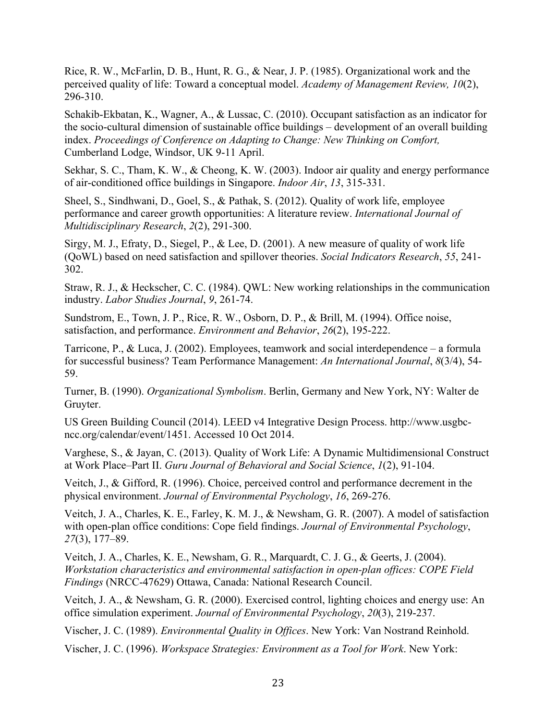Rice, R. W., McFarlin, D. B., Hunt, R. G., & Near, J. P. (1985). Organizational work and the perceived quality of life: Toward a conceptual model. *Academy of Management Review, 10*(2), 296-310.

Schakib-Ekbatan, K., Wagner, A., & Lussac, C. (2010). Occupant satisfaction as an indicator for the socio-cultural dimension of sustainable office buildings – development of an overall building index. *Proceedings of Conference on Adapting to Change: New Thinking on Comfort,* Cumberland Lodge, Windsor, UK 9-11 April.

Sekhar, S. C., Tham, K. W., & Cheong, K. W. (2003). Indoor air quality and energy performance of air-conditioned office buildings in Singapore. *Indoor Air*, *13*, 315-331.

Sheel, S., Sindhwani, D., Goel, S., & Pathak, S. (2012). Quality of work life, employee performance and career growth opportunities: A literature review. *International Journal of Multidisciplinary Research*, *2*(2), 291-300.

Sirgy, M. J., Efraty, D., Siegel, P., & Lee, D. (2001). A new measure of quality of work life (QoWL) based on need satisfaction and spillover theories. *Social Indicators Research*, *55*, 241- 302.

Straw, R. J., & Heckscher, C. C. (1984). QWL: New working relationships in the communication industry. *Labor Studies Journal*, *9*, 261-74.

Sundstrom, E., Town, J. P., Rice, R. W., Osborn, D. P., & Brill, M. (1994). Office noise, satisfaction, and performance. *Environment and Behavior*, *26*(2), 195-222.

Tarricone, P., & Luca, J. (2002). Employees, teamwork and social interdependence – a formula for successful business? Team Performance Management: *An International Journal*, *8*(3/4), 54- 59.

Turner, B. (1990). *Organizational Symbolism*. Berlin, Germany and New York, NY: Walter de Gruyter.

US Green Building Council (2014). LEED v4 Integrative Design Process. http://www.usgbcncc.org/calendar/event/1451. Accessed 10 Oct 2014.

Varghese, S., & Jayan, C. (2013). Quality of Work Life: A Dynamic Multidimensional Construct at Work Place–Part II. *Guru Journal of Behavioral and Social Science*, *1*(2), 91-104.

Veitch, J., & Gifford, R. (1996). Choice, perceived control and performance decrement in the physical environment. *Journal of Environmental Psychology*, *16*, 269-276.

Veitch, J. A., Charles, K. E., Farley, K. M. J., & Newsham, G. R. (2007). A model of satisfaction with open-plan office conditions: Cope field findings. *Journal of Environmental Psychology*, *27*(3), 177–89.

Veitch, J. A., Charles, K. E., Newsham, G. R., Marquardt, C. J. G., & Geerts, J. (2004). *Workstation characteristics and environmental satisfaction in open-plan offices: COPE Field Findings* (NRCC-47629) Ottawa, Canada: National Research Council.

Veitch, J. A., & Newsham, G. R. (2000). Exercised control, lighting choices and energy use: An office simulation experiment. *Journal of Environmental Psychology*, *20*(3), 219-237.

Vischer, J. C. (1989). *Environmental Quality in Offices*. New York: Van Nostrand Reinhold.

Vischer, J. C. (1996). *Workspace Strategies: Environment as a Tool for Work*. New York: